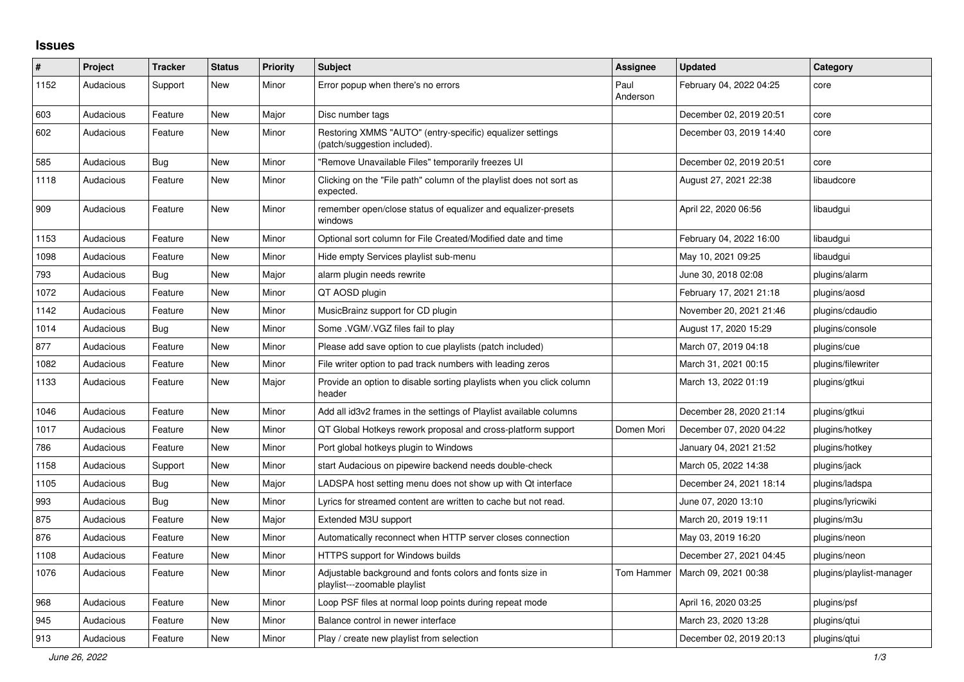## **Issues**

| #    | <b>Project</b> | <b>Tracker</b> | <b>Status</b> | <b>Priority</b> | <b>Subject</b>                                                                            | Assignee         | <b>Updated</b>          | Category                 |
|------|----------------|----------------|---------------|-----------------|-------------------------------------------------------------------------------------------|------------------|-------------------------|--------------------------|
| 1152 | Audacious      | Support        | <b>New</b>    | Minor           | Error popup when there's no errors                                                        | Paul<br>Anderson | February 04, 2022 04:25 | core                     |
| 603  | Audacious      | Feature        | <b>New</b>    | Major           | Disc number tags                                                                          |                  | December 02, 2019 20:51 | core                     |
| 602  | Audacious      | Feature        | <b>New</b>    | Minor           | Restoring XMMS "AUTO" (entry-specific) equalizer settings<br>(patch/suggestion included). |                  | December 03, 2019 14:40 | core                     |
| 585  | Audacious      | Bug            | <b>New</b>    | Minor           | "Remove Unavailable Files" temporarily freezes UI                                         |                  | December 02, 2019 20:51 | core                     |
| 1118 | Audacious      | Feature        | <b>New</b>    | Minor           | Clicking on the "File path" column of the playlist does not sort as<br>expected.          |                  | August 27, 2021 22:38   | libaudcore               |
| 909  | Audacious      | Feature        | <b>New</b>    | Minor           | remember open/close status of equalizer and equalizer-presets<br>windows                  |                  | April 22, 2020 06:56    | libaudgui                |
| 1153 | Audacious      | Feature        | <b>New</b>    | Minor           | Optional sort column for File Created/Modified date and time                              |                  | February 04, 2022 16:00 | libaudgui                |
| 1098 | Audacious      | Feature        | <b>New</b>    | Minor           | Hide empty Services playlist sub-menu                                                     |                  | May 10, 2021 09:25      | libaudgui                |
| 793  | Audacious      | Bug            | <b>New</b>    | Major           | alarm plugin needs rewrite                                                                |                  | June 30, 2018 02:08     | plugins/alarm            |
| 1072 | Audacious      | Feature        | <b>New</b>    | Minor           | QT AOSD plugin                                                                            |                  | February 17, 2021 21:18 | plugins/aosd             |
| 1142 | Audacious      | Feature        | New           | Minor           | MusicBrainz support for CD plugin                                                         |                  | November 20, 2021 21:46 | plugins/cdaudio          |
| 1014 | Audacious      | Bug            | <b>New</b>    | Minor           | Some . VGM/. VGZ files fail to play                                                       |                  | August 17, 2020 15:29   | plugins/console          |
| 877  | Audacious      | Feature        | <b>New</b>    | Minor           | Please add save option to cue playlists (patch included)                                  |                  | March 07, 2019 04:18    | plugins/cue              |
| 1082 | Audacious      | Feature        | <b>New</b>    | Minor           | File writer option to pad track numbers with leading zeros                                |                  | March 31, 2021 00:15    | plugins/filewriter       |
| 1133 | Audacious      | Feature        | New           | Major           | Provide an option to disable sorting playlists when you click column<br>header            |                  | March 13, 2022 01:19    | plugins/gtkui            |
| 1046 | Audacious      | Feature        | <b>New</b>    | Minor           | Add all id3v2 frames in the settings of Playlist available columns                        |                  | December 28, 2020 21:14 | plugins/gtkui            |
| 1017 | Audacious      | Feature        | <b>New</b>    | Minor           | QT Global Hotkeys rework proposal and cross-platform support                              | Domen Mori       | December 07, 2020 04:22 | plugins/hotkey           |
| 786  | Audacious      | Feature        | <b>New</b>    | Minor           | Port global hotkeys plugin to Windows                                                     |                  | January 04, 2021 21:52  | plugins/hotkey           |
| 1158 | Audacious      | Support        | New           | Minor           | start Audacious on pipewire backend needs double-check                                    |                  | March 05, 2022 14:38    | plugins/jack             |
| 1105 | Audacious      | <b>Bug</b>     | <b>New</b>    | Major           | LADSPA host setting menu does not show up with Qt interface                               |                  | December 24, 2021 18:14 | plugins/ladspa           |
| 993  | Audacious      | <b>Bug</b>     | <b>New</b>    | Minor           | Lyrics for streamed content are written to cache but not read.                            |                  | June 07, 2020 13:10     | plugins/lyricwiki        |
| 875  | Audacious      | Feature        | <b>New</b>    | Major           | Extended M3U support                                                                      |                  | March 20, 2019 19:11    | plugins/m3u              |
| 876  | Audacious      | Feature        | <b>New</b>    | Minor           | Automatically reconnect when HTTP server closes connection                                |                  | May 03, 2019 16:20      | plugins/neon             |
| 1108 | Audacious      | Feature        | New           | Minor           | <b>HTTPS support for Windows builds</b>                                                   |                  | December 27, 2021 04:45 | plugins/neon             |
| 1076 | Audacious      | Feature        | <b>New</b>    | Minor           | Adjustable background and fonts colors and fonts size in<br>playlist---zoomable playlist  | Tom Hammer       | March 09, 2021 00:38    | plugins/playlist-manager |
| 968  | Audacious      | Feature        | New           | Minor           | Loop PSF files at normal loop points during repeat mode                                   |                  | April 16, 2020 03:25    | plugins/psf              |
| 945  | Audacious      | Feature        | <b>New</b>    | Minor           | Balance control in newer interface                                                        |                  | March 23, 2020 13:28    | plugins/gtui             |
| 913  | Audacious      | Feature        | <b>New</b>    | Minor           | Play / create new playlist from selection                                                 |                  | December 02, 2019 20:13 | plugins/gtui             |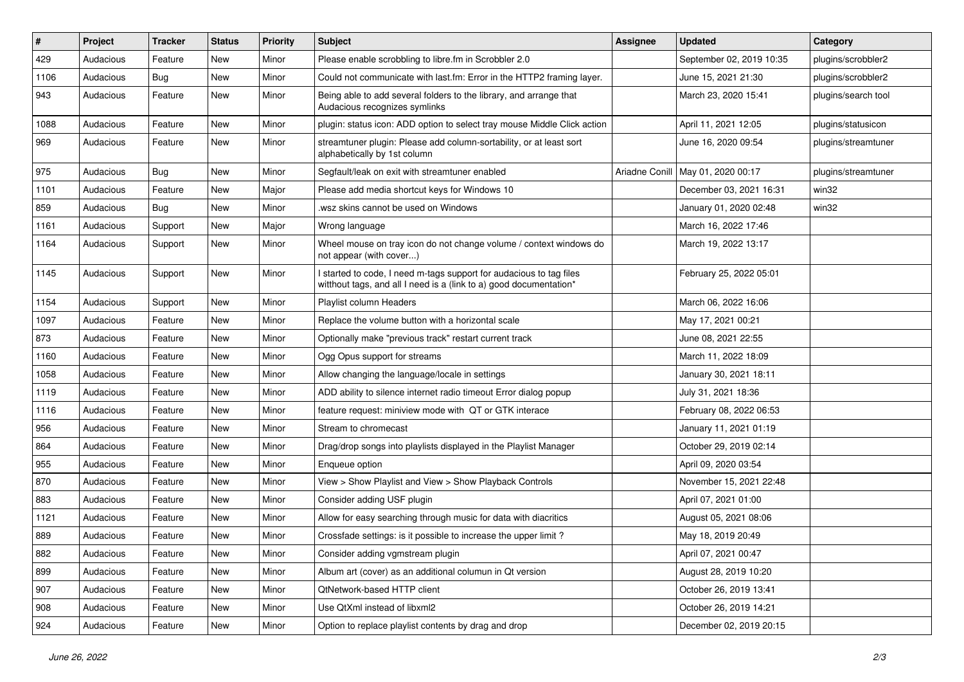| #    | Project   | <b>Tracker</b> | <b>Status</b> | <b>Priority</b> | Subject                                                                                                                                   | <b>Assignee</b> | <b>Updated</b>           | Category            |
|------|-----------|----------------|---------------|-----------------|-------------------------------------------------------------------------------------------------------------------------------------------|-----------------|--------------------------|---------------------|
| 429  | Audacious | Feature        | <b>New</b>    | Minor           | Please enable scrobbling to libre.fm in Scrobbler 2.0                                                                                     |                 | September 02, 2019 10:35 | plugins/scrobbler2  |
| 1106 | Audacious | Bug            | New           | Minor           | Could not communicate with last.fm: Error in the HTTP2 framing layer.                                                                     |                 | June 15, 2021 21:30      | plugins/scrobbler2  |
| 943  | Audacious | Feature        | New           | Minor           | Being able to add several folders to the library, and arrange that<br>Audacious recognizes symlinks                                       |                 | March 23, 2020 15:41     | plugins/search tool |
| 1088 | Audacious | Feature        | <b>New</b>    | Minor           | plugin: status icon: ADD option to select tray mouse Middle Click action                                                                  |                 | April 11, 2021 12:05     | plugins/statusicon  |
| 969  | Audacious | Feature        | New           | Minor           | streamtuner plugin: Please add column-sortability, or at least sort<br>alphabetically by 1st column                                       |                 | June 16, 2020 09:54      | plugins/streamtuner |
| 975  | Audacious | Bug            | New           | Minor           | Segfault/leak on exit with streamtuner enabled                                                                                            | Ariadne Conill  | May 01, 2020 00:17       | plugins/streamtuner |
| 1101 | Audacious | Feature        | New           | Major           | Please add media shortcut keys for Windows 10                                                                                             |                 | December 03, 2021 16:31  | win32               |
| 859  | Audacious | Bug            | New           | Minor           | .wsz skins cannot be used on Windows                                                                                                      |                 | January 01, 2020 02:48   | win32               |
| 1161 | Audacious | Support        | New           | Major           | Wrong language                                                                                                                            |                 | March 16, 2022 17:46     |                     |
| 1164 | Audacious | Support        | New           | Minor           | Wheel mouse on tray icon do not change volume / context windows do<br>not appear (with cover)                                             |                 | March 19, 2022 13:17     |                     |
| 1145 | Audacious | Support        | New           | Minor           | I started to code, I need m-tags support for audacious to tag files<br>witthout tags, and all I need is a (link to a) good documentation* |                 | February 25, 2022 05:01  |                     |
| 1154 | Audacious | Support        | New           | Minor           | Playlist column Headers                                                                                                                   |                 | March 06, 2022 16:06     |                     |
| 1097 | Audacious | Feature        | New           | Minor           | Replace the volume button with a horizontal scale                                                                                         |                 | May 17, 2021 00:21       |                     |
| 873  | Audacious | Feature        | <b>New</b>    | Minor           | Optionally make "previous track" restart current track                                                                                    |                 | June 08, 2021 22:55      |                     |
| 1160 | Audacious | Feature        | <b>New</b>    | Minor           | Ogg Opus support for streams                                                                                                              |                 | March 11, 2022 18:09     |                     |
| 1058 | Audacious | Feature        | New           | Minor           | Allow changing the language/locale in settings                                                                                            |                 | January 30, 2021 18:11   |                     |
| 1119 | Audacious | Feature        | New           | Minor           | ADD ability to silence internet radio timeout Error dialog popup                                                                          |                 | July 31, 2021 18:36      |                     |
| 1116 | Audacious | Feature        | New           | Minor           | feature request: miniview mode with QT or GTK interace                                                                                    |                 | February 08, 2022 06:53  |                     |
| 956  | Audacious | Feature        | New           | Minor           | Stream to chromecast                                                                                                                      |                 | January 11, 2021 01:19   |                     |
| 864  | Audacious | Feature        | New           | Minor           | Drag/drop songs into playlists displayed in the Playlist Manager                                                                          |                 | October 29, 2019 02:14   |                     |
| 955  | Audacious | Feature        | New           | Minor           | Enqueue option                                                                                                                            |                 | April 09, 2020 03:54     |                     |
| 870  | Audacious | Feature        | <b>New</b>    | Minor           | View > Show Playlist and View > Show Playback Controls                                                                                    |                 | November 15, 2021 22:48  |                     |
| 883  | Audacious | Feature        | New           | Minor           | Consider adding USF plugin                                                                                                                |                 | April 07, 2021 01:00     |                     |
| 1121 | Audacious | Feature        | New           | Minor           | Allow for easy searching through music for data with diacritics                                                                           |                 | August 05, 2021 08:06    |                     |
| 889  | Audacious | Feature        | New           | Minor           | Crossfade settings: is it possible to increase the upper limit?                                                                           |                 | May 18, 2019 20:49       |                     |
| 882  | Audacious | Feature        | New           | Minor           | Consider adding vgmstream plugin                                                                                                          |                 | April 07, 2021 00:47     |                     |
| 899  | Audacious | Feature        | New           | Minor           | Album art (cover) as an additional columun in Qt version                                                                                  |                 | August 28, 2019 10:20    |                     |
| 907  | Audacious | Feature        | New           | Minor           | QtNetwork-based HTTP client                                                                                                               |                 | October 26, 2019 13:41   |                     |
| 908  | Audacious | Feature        | New           | Minor           | Use QtXml instead of libxml2                                                                                                              |                 | October 26, 2019 14:21   |                     |
| 924  | Audacious | Feature        | New           | Minor           | Option to replace playlist contents by drag and drop                                                                                      |                 | December 02, 2019 20:15  |                     |